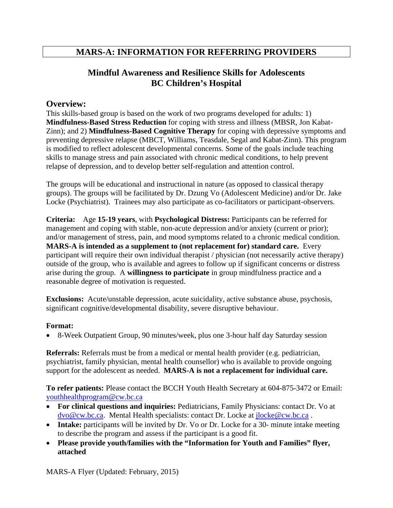## **MARS-A: INFORMATION FOR REFERRING PROVIDERS**

## **Mindful Awareness and Resilience Skills for Adolescents BC Children's Hospital**

## **Overview:**

This skills-based group is based on the work of two programs developed for adults: 1) **Mindfulness-Based Stress Reduction** for coping with stress and illness (MBSR, Jon Kabat-Zinn); and 2) **Mindfulness-Based Cognitive Therapy** for coping with depressive symptoms and preventing depressive relapse (MBCT, Williams, Teasdale, Segal and Kabat-Zinn). This program is modified to reflect adolescent developmental concerns. Some of the goals include teaching skills to manage stress and pain associated with chronic medical conditions, to help prevent relapse of depression, and to develop better self-regulation and attention control.

The groups will be educational and instructional in nature (as opposed to classical therapy groups). The groups will be facilitated by Dr. Dzung Vo (Adolescent Medicine) and/or Dr. Jake Locke (Psychiatrist). Trainees may also participate as co-facilitators or participant-observers.

**Criteria:** Age **15-19 years**, with **Psychological Distress:** Participants can be referred for management and coping with stable, non-acute depression and/or anxiety (current or prior); and/or management of stress, pain, and mood symptoms related to a chronic medical condition. **MARS-A is intended as a supplement to (not replacement for) standard care.** Every participant will require their own individual therapist / physician (not necessarily active therapy) outside of the group, who is available and agrees to follow up if significant concerns or distress arise during the group. A **willingness to participate** in group mindfulness practice and a reasonable degree of motivation is requested.

**Exclusions:** Acute/unstable depression, acute suicidality, active substance abuse, psychosis, significant cognitive/developmental disability, severe disruptive behaviour.

### **Format:**

8-Week Outpatient Group, 90 minutes/week, plus one 3-hour half day Saturday session

**Referrals:** Referrals must be from a medical or mental health provider (e.g. pediatrician, psychiatrist, family physician, mental health counsellor) who is available to provide ongoing support for the adolescent as needed. **MARS-A is not a replacement for individual care.** 

**To refer patients:** Please contact the BCCH Youth Health Secretary at 604-875-3472 or Email: youthhealthprogram@cw.bc.ca

- **For clinical questions and inquiries:** Pediatricians, Family Physicians: contact Dr. Vo at dvo@cw.bc.ca. Mental Health specialists: contact Dr. Locke at jlocke@cw.bc.ca.
- **Intake:** participants will be invited by Dr. Vo or Dr. Locke for a 30- minute intake meeting to describe the program and assess if the participant is a good fit.
- **Please provide youth/families with the "Information for Youth and Families" flyer, attached**